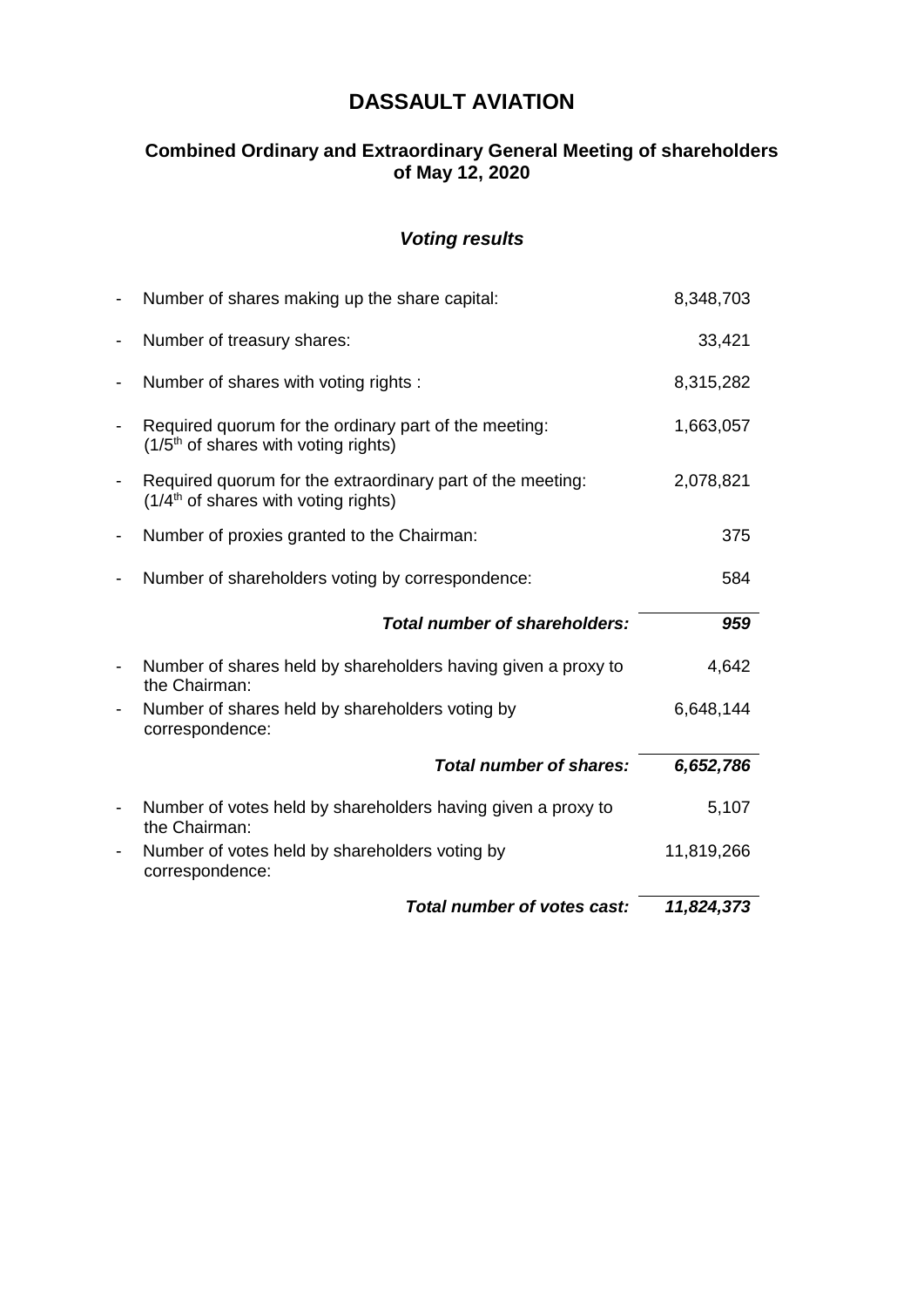# **DASSAULT AVIATION**

## **Combined Ordinary and Extraordinary General Meeting of shareholders of May 12, 2020**

## *Voting results*

|                              | Total number of votes cast:                                                                                    | 11,824,373 |
|------------------------------|----------------------------------------------------------------------------------------------------------------|------------|
| $\overline{\phantom{0}}$     | Number of votes held by shareholders voting by<br>correspondence:                                              | 11,819,266 |
| $\qquad \qquad \blacksquare$ | Number of votes held by shareholders having given a proxy to<br>the Chairman:                                  | 5,107      |
|                              | <b>Total number of shares:</b>                                                                                 | 6,652,786  |
| $\qquad \qquad \blacksquare$ | Number of shares held by shareholders voting by<br>correspondence:                                             | 6,648,144  |
|                              | Number of shares held by shareholders having given a proxy to<br>the Chairman:                                 | 4,642      |
|                              | Total number of shareholders:                                                                                  | 959        |
| $\overline{\phantom{0}}$     | Number of shareholders voting by correspondence:                                                               | 584        |
| $\overline{\phantom{a}}$     | Number of proxies granted to the Chairman:                                                                     | 375        |
|                              | Required quorum for the extraordinary part of the meeting:<br>(1/4 <sup>th</sup> of shares with voting rights) | 2,078,821  |
| $\qquad \qquad \blacksquare$ | Required quorum for the ordinary part of the meeting:<br>(1/5 <sup>th</sup> of shares with voting rights)      | 1,663,057  |
| $\qquad \qquad \blacksquare$ | Number of shares with voting rights :                                                                          | 8,315,282  |
| $\qquad \qquad \blacksquare$ | Number of treasury shares:                                                                                     | 33,421     |
|                              | Number of shares making up the share capital:                                                                  | 8,348,703  |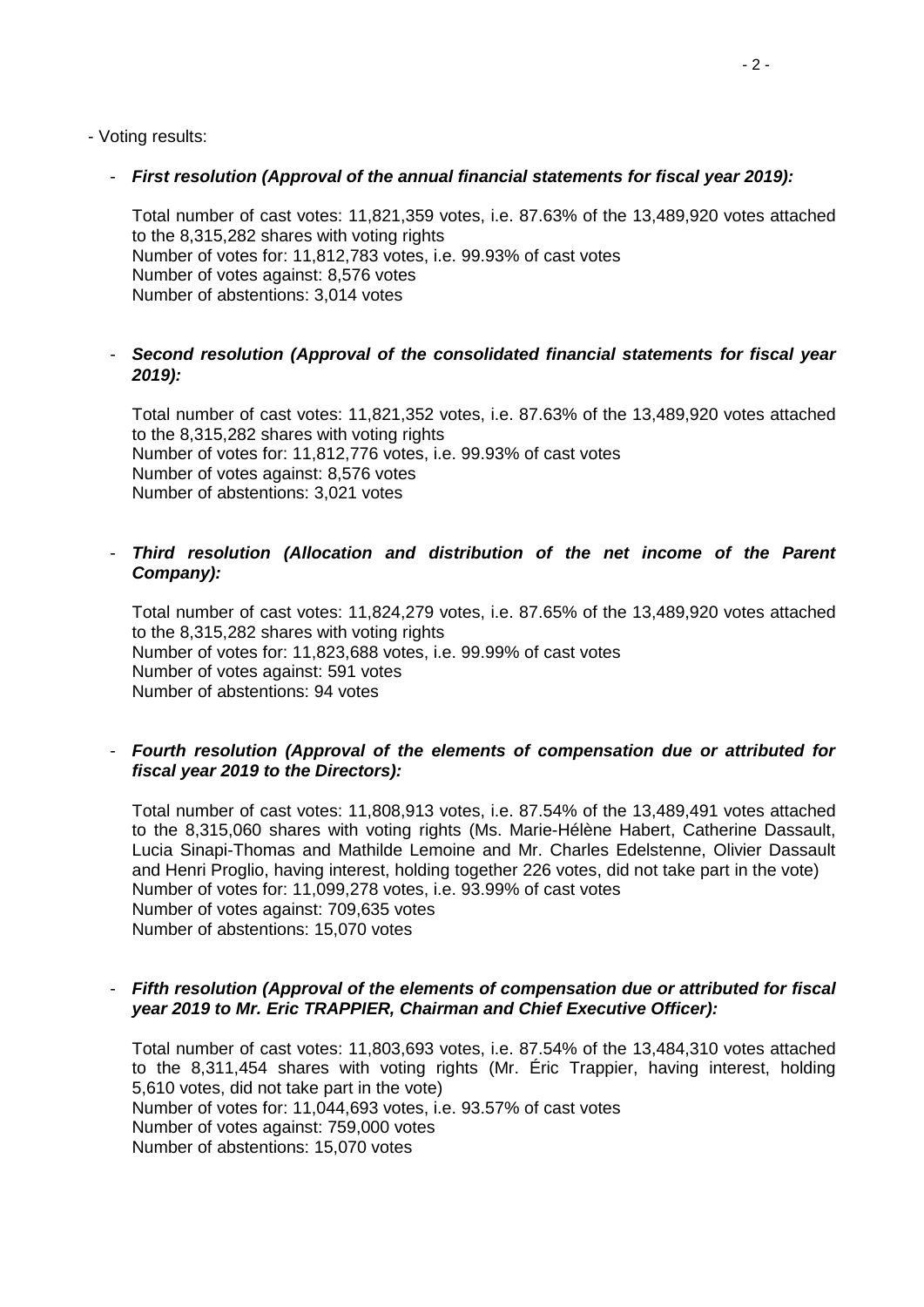- Voting results:

### - *First resolution (Approval of the annual financial statements for fiscal year 2019):*

Total number of cast votes: 11,821,359 votes, i.e. 87.63% of the 13,489,920 votes attached to the 8,315,282 shares with voting rights Number of votes for: 11,812,783 votes, i.e. 99.93% of cast votes Number of votes against: 8,576 votes Number of abstentions: 3,014 votes

## - *Second resolution (Approval of the consolidated financial statements for fiscal year 2019):*

Total number of cast votes: 11,821,352 votes, i.e. 87.63% of the 13,489,920 votes attached to the 8,315,282 shares with voting rights Number of votes for: 11,812,776 votes, i.e. 99.93% of cast votes Number of votes against: 8,576 votes Number of abstentions: 3,021 votes

## - *Third resolution (Allocation and distribution of the net income of the Parent Company):*

Total number of cast votes: 11,824,279 votes, i.e. 87.65% of the 13,489,920 votes attached to the 8,315,282 shares with voting rights Number of votes for: 11,823,688 votes, i.e. 99.99% of cast votes Number of votes against: 591 votes Number of abstentions: 94 votes

## - *Fourth resolution (Approval of the elements of compensation due or attributed for fiscal year 2019 to the Directors):*

Total number of cast votes: 11,808,913 votes, i.e. 87.54% of the 13,489,491 votes attached to the 8,315,060 shares with voting rights (Ms. Marie-Hélène Habert, Catherine Dassault, Lucia Sinapi-Thomas and Mathilde Lemoine and Mr. Charles Edelstenne, Olivier Dassault and Henri Proglio, having interest, holding together 226 votes, did not take part in the vote) Number of votes for: 11,099,278 votes, i.e. 93.99% of cast votes Number of votes against: 709,635 votes Number of abstentions: 15,070 votes

## - *Fifth resolution (Approval of the elements of compensation due or attributed for fiscal year 2019 to Mr. Eric TRAPPIER, Chairman and Chief Executive Officer):*

Total number of cast votes: 11,803,693 votes, i.e. 87.54% of the 13,484,310 votes attached to the 8,311,454 shares with voting rights (Mr. Éric Trappier, having interest, holding 5,610 votes, did not take part in the vote) Number of votes for: 11,044,693 votes, i.e. 93.57% of cast votes Number of votes against: 759,000 votes Number of abstentions: 15,070 votes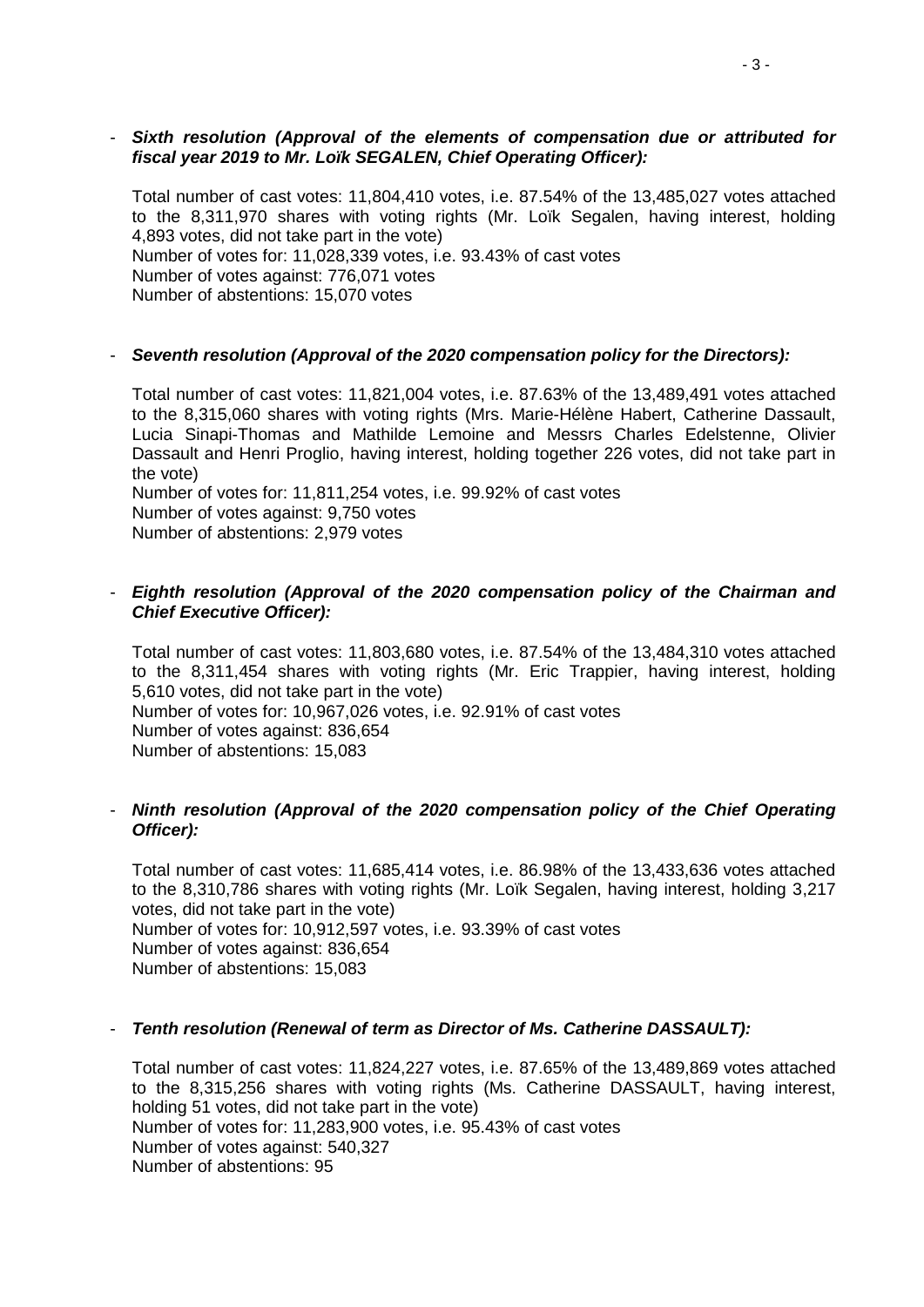#### - *Sixth resolution (Approval of the elements of compensation due or attributed for fiscal year 2019 to Mr. Loïk SEGALEN, Chief Operating Officer):*

Total number of cast votes: 11,804,410 votes, i.e. 87.54% of the 13,485,027 votes attached to the 8,311,970 shares with voting rights (Mr. Loïk Segalen, having interest, holding 4,893 votes, did not take part in the vote) Number of votes for: 11,028,339 votes, i.e. 93.43% of cast votes Number of votes against: 776,071 votes Number of abstentions: 15,070 votes

#### - *Seventh resolution (Approval of the 2020 compensation policy for the Directors):*

Total number of cast votes: 11,821,004 votes, i.e. 87.63% of the 13,489,491 votes attached to the 8,315,060 shares with voting rights (Mrs. Marie-Hélène Habert, Catherine Dassault, Lucia Sinapi-Thomas and Mathilde Lemoine and Messrs Charles Edelstenne, Olivier Dassault and Henri Proglio, having interest, holding together 226 votes, did not take part in the vote)

Number of votes for: 11,811,254 votes, i.e. 99.92% of cast votes Number of votes against: 9,750 votes Number of abstentions: 2,979 votes

#### - *Eighth resolution (Approval of the 2020 compensation policy of the Chairman and Chief Executive Officer):*

Total number of cast votes: 11,803,680 votes, i.e. 87.54% of the 13,484,310 votes attached to the 8,311,454 shares with voting rights (Mr. Eric Trappier, having interest, holding 5,610 votes, did not take part in the vote) Number of votes for: 10,967,026 votes, i.e. 92.91% of cast votes Number of votes against: 836,654 Number of abstentions: 15,083

## - *Ninth resolution (Approval of the 2020 compensation policy of the Chief Operating Officer):*

Total number of cast votes: 11,685,414 votes, i.e. 86.98% of the 13,433,636 votes attached to the 8,310,786 shares with voting rights (Mr. Loïk Segalen, having interest, holding 3,217 votes, did not take part in the vote) Number of votes for: 10,912,597 votes, i.e. 93.39% of cast votes Number of votes against: 836,654 Number of abstentions: 15,083

#### - *Tenth resolution (Renewal of term as Director of Ms. Catherine DASSAULT):*

Total number of cast votes: 11,824,227 votes, i.e. 87.65% of the 13,489,869 votes attached to the 8,315,256 shares with voting rights (Ms. Catherine DASSAULT, having interest, holding 51 votes, did not take part in the vote) Number of votes for: 11,283,900 votes, i.e. 95.43% of cast votes Number of votes against: 540,327 Number of abstentions: 95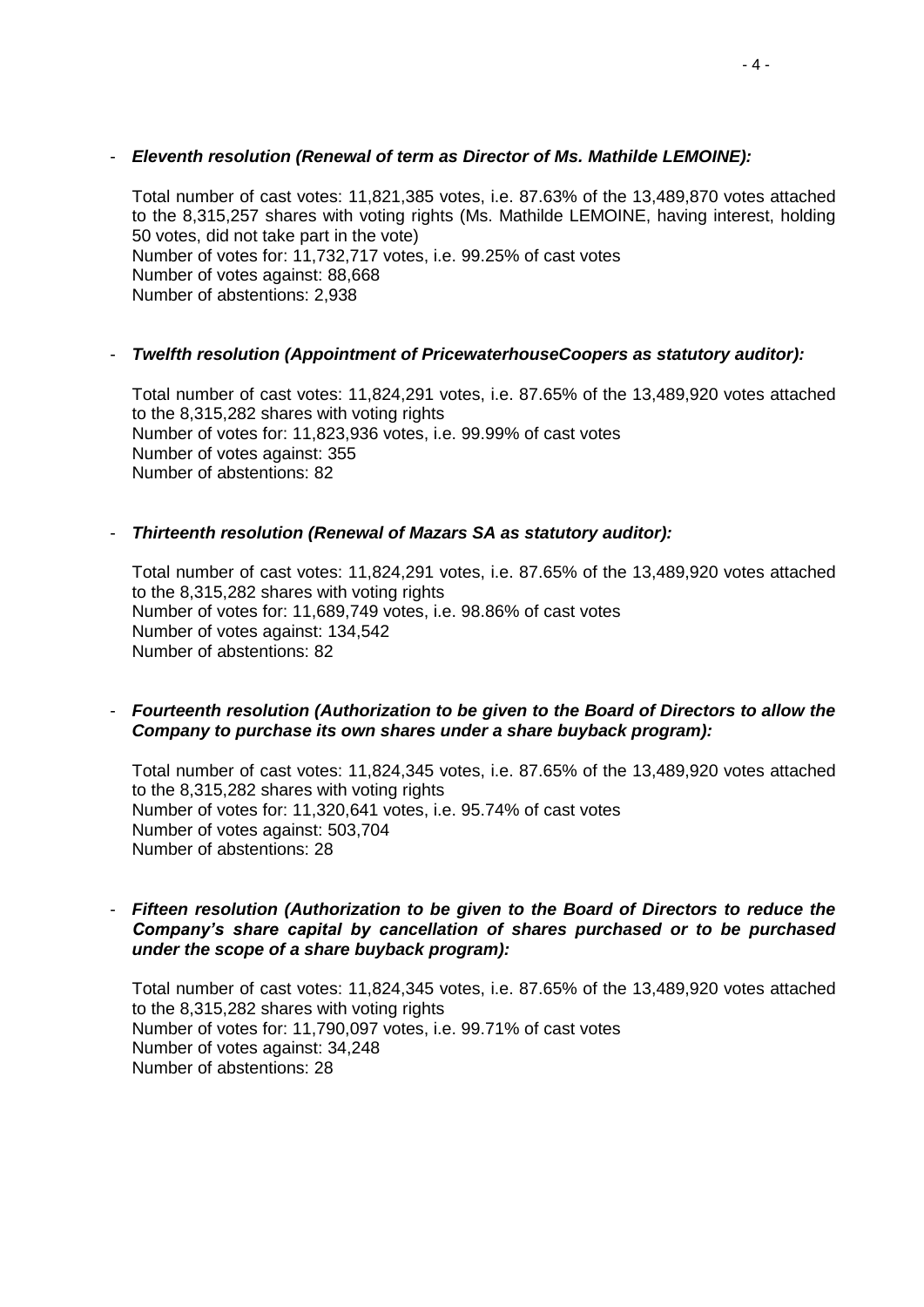### - *Eleventh resolution (Renewal of term as Director of Ms. Mathilde LEMOINE):*

Total number of cast votes: 11,821,385 votes, i.e. 87.63% of the 13,489,870 votes attached to the 8,315,257 shares with voting rights (Ms. Mathilde LEMOINE, having interest, holding 50 votes, did not take part in the vote) Number of votes for: 11,732,717 votes, i.e. 99.25% of cast votes Number of votes against: 88,668 Number of abstentions: 2,938

## - *Twelfth resolution (Appointment of PricewaterhouseCoopers as statutory auditor):*

Total number of cast votes: 11,824,291 votes, i.e. 87.65% of the 13,489,920 votes attached to the 8,315,282 shares with voting rights Number of votes for: 11,823,936 votes, i.e. 99.99% of cast votes Number of votes against: 355 Number of abstentions: 82

## - *Thirteenth resolution (Renewal of Mazars SA as statutory auditor):*

Total number of cast votes: 11,824,291 votes, i.e. 87.65% of the 13,489,920 votes attached to the 8,315,282 shares with voting rights Number of votes for: 11,689,749 votes, i.e. 98.86% of cast votes Number of votes against: 134,542 Number of abstentions: 82

## - *Fourteenth resolution (Authorization to be given to the Board of Directors to allow the Company to purchase its own shares under a share buyback program):*

Total number of cast votes: 11,824,345 votes, i.e. 87.65% of the 13,489,920 votes attached to the 8,315,282 shares with voting rights Number of votes for: 11,320,641 votes, i.e. 95.74% of cast votes Number of votes against: 503,704 Number of abstentions: 28

### - *Fifteen resolution (Authorization to be given to the Board of Directors to reduce the Company's share capital by cancellation of shares purchased or to be purchased under the scope of a share buyback program):*

Total number of cast votes: 11,824,345 votes, i.e. 87.65% of the 13,489,920 votes attached to the 8,315,282 shares with voting rights Number of votes for: 11,790,097 votes, i.e. 99.71% of cast votes Number of votes against: 34,248 Number of abstentions: 28